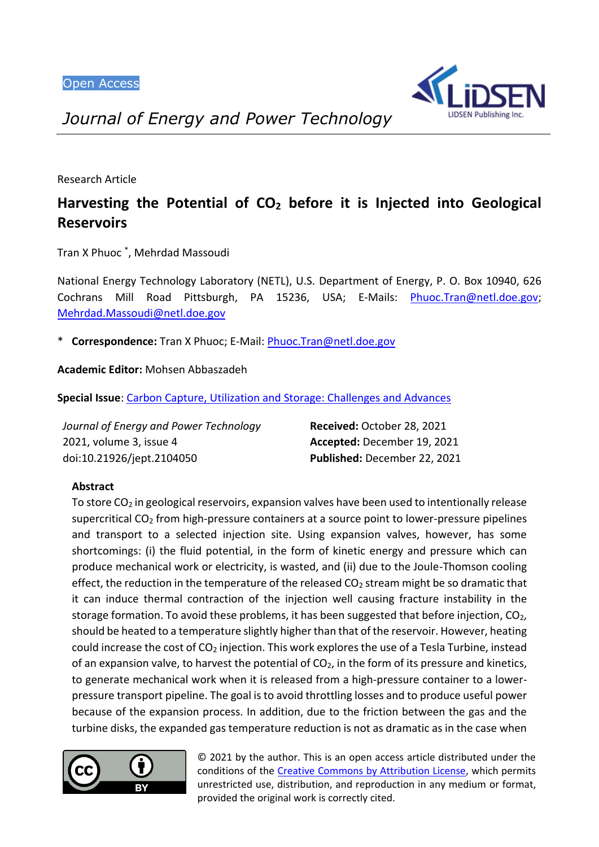

*Journal of Energy and Power Technology*

Research Article

# **Harvesting the Potential of CO<sup>2</sup> before it is Injected into Geological Reservoirs**

Tran X Phuoc \* , Mehrdad Massoudi

National Energy Technology Laboratory (NETL), U.S. Department of Energy, P. O. Box 10940, 626 Cochrans Mill Road Pittsburgh, PA 15236, USA; E-Mails: [Phuoc.Tran@netl.doe.gov;](mailto:Phuoc.Tran@netl.doe.gov) [Mehrdad.Massoudi@netl.doe.gov](mailto:Mehrdad.Massoudi@netl.doe.gov)

\* **Correspondence:** Tran X Phuoc; E-Mail[: Phuoc.Tran@netl.doe.gov](mailto:Phuoc.Tran@netl.doe.gov)

**Academic Editor:** Mohsen Abbaszadeh

**Special Issue**: [Carbon Capture, Utilization and Storage: Challenges and Advances](https://www.lidsen.com/journals/jept/jept-special-issues/carbon-capture-utilization-storage)

| Journal of Energy and Power Technology | Received: October 28, 2021   |
|----------------------------------------|------------------------------|
| 2021, volume 3, issue 4                | Accepted: December 19, 2021  |
| doi:10.21926/jept.2104050              | Published: December 22, 2021 |

# **Abstract**

To store  $CO<sub>2</sub>$  in geological reservoirs, expansion valves have been used to intentionally release supercritical  $CO<sub>2</sub>$  from high-pressure containers at a source point to lower-pressure pipelines and transport to a selected injection site. Using expansion valves, however, has some shortcomings: (i) the fluid potential, in the form of kinetic energy and pressure which can produce mechanical work or electricity, is wasted, and (ii) due to the Joule-Thomson cooling effect, the reduction in the temperature of the released  $CO<sub>2</sub>$  stream might be so dramatic that it can induce thermal contraction of the injection well causing fracture instability in the storage formation. To avoid these problems, it has been suggested that before injection,  $CO<sub>2</sub>$ , should be heated to a temperature slightly higher than that of the reservoir. However, heating could increase the cost of  $CO<sub>2</sub>$  injection. This work explores the use of a Tesla Turbine, instead of an expansion valve, to harvest the potential of  $CO<sub>2</sub>$ , in the form of its pressure and kinetics, to generate mechanical work when it is released from a high-pressure container to a lowerpressure transport pipeline. The goal is to avoid throttling losses and to produce useful power because of the expansion process. In addition, due to the friction between the gas and the turbine disks, the expanded gas temperature reduction is not as dramatic as in the case when



© 2021 by the author. This is an open access article distributed under the conditions of the [Creative Commons by Attribution License,](http://creativecommons.org/licenses/by/4.0/) which permits unrestricted use, distribution, and reproduction in any medium or format, provided the original work is correctly cited.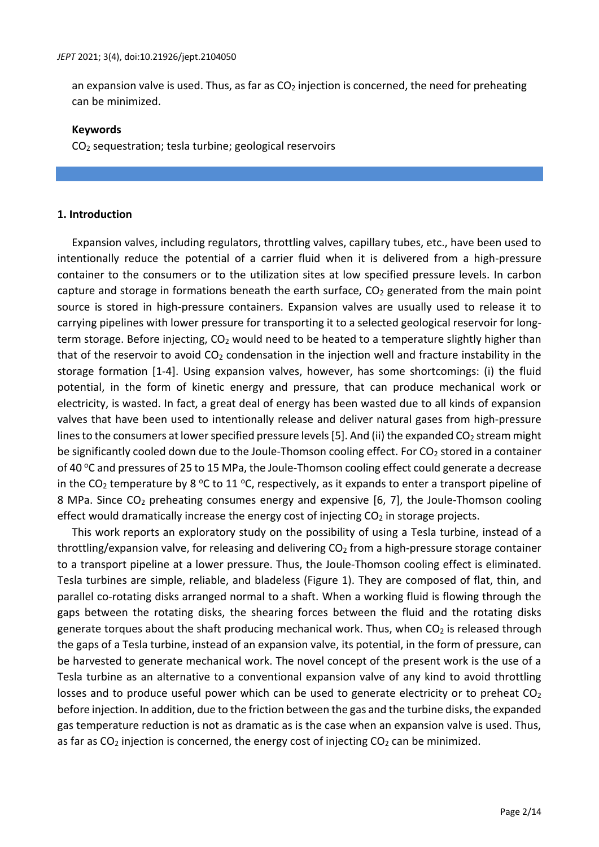an expansion valve is used. Thus, as far as  $CO<sub>2</sub>$  injection is concerned, the need for preheating can be minimized.

### **Keywords**

CO<sup>2</sup> sequestration; tesla turbine; geological reservoirs

# **1. Introduction**

Expansion valves, including regulators, throttling valves, capillary tubes, etc., have been used to intentionally reduce the potential of a carrier fluid when it is delivered from a high-pressure container to the consumers or to the utilization sites at low specified pressure levels. In carbon capture and storage in formations beneath the earth surface,  $CO<sub>2</sub>$  generated from the main point source is stored in high-pressure containers. Expansion valves are usually used to release it to carrying pipelines with lower pressure for transporting it to a selected geological reservoir for longterm storage. Before injecting, CO<sub>2</sub> would need to be heated to a temperature slightly higher than that of the reservoir to avoid  $CO<sub>2</sub>$  condensation in the injection well and fracture instability in the storage formation [1-4]. Using expansion valves, however, has some shortcomings: (i) the fluid potential, in the form of kinetic energy and pressure, that can produce mechanical work or electricity, is wasted. In fact, a great deal of energy has been wasted due to all kinds of expansion valves that have been used to intentionally release and deliver natural gases from high-pressure lines to the consumers at lower specified pressure levels [5]. And (ii) the expanded  $CO<sub>2</sub>$  stream might be significantly cooled down due to the Joule-Thomson cooling effect. For  $CO<sub>2</sub>$  stored in a container of 40 °C and pressures of 25 to 15 MPa, the Joule-Thomson cooling effect could generate a decrease in the CO<sub>2</sub> temperature by 8 °C to 11 °C, respectively, as it expands to enter a transport pipeline of 8 MPa. Since  $CO<sub>2</sub>$  preheating consumes energy and expensive [6, 7], the Joule-Thomson cooling effect would dramatically increase the energy cost of injecting  $CO<sub>2</sub>$  in storage projects.

This work reports an exploratory study on the possibility of using a Tesla turbine, instead of a throttling/expansion valve, for releasing and delivering  $CO<sub>2</sub>$  from a high-pressure storage container to a transport pipeline at a lower pressure. Thus, the Joule-Thomson cooling effect is eliminated. Tesla turbines are simple, reliable, and bladeless (Figure 1). They are composed of flat, thin, and parallel co-rotating disks arranged normal to a shaft. When a working fluid is flowing through the gaps between the rotating disks, the shearing forces between the fluid and the rotating disks generate torques about the shaft producing mechanical work. Thus, when  $CO<sub>2</sub>$  is released through the gaps of a Tesla turbine, instead of an expansion valve, its potential, in the form of pressure, can be harvested to generate mechanical work. The novel concept of the present work is the use of a Tesla turbine as an alternative to a conventional expansion valve of any kind to avoid throttling losses and to produce useful power which can be used to generate electricity or to preheat  $CO<sub>2</sub>$ before injection. In addition, due to the friction between the gas and the turbine disks, the expanded gas temperature reduction is not as dramatic as is the case when an expansion valve is used. Thus, as far as  $CO<sub>2</sub>$  injection is concerned, the energy cost of injecting  $CO<sub>2</sub>$  can be minimized.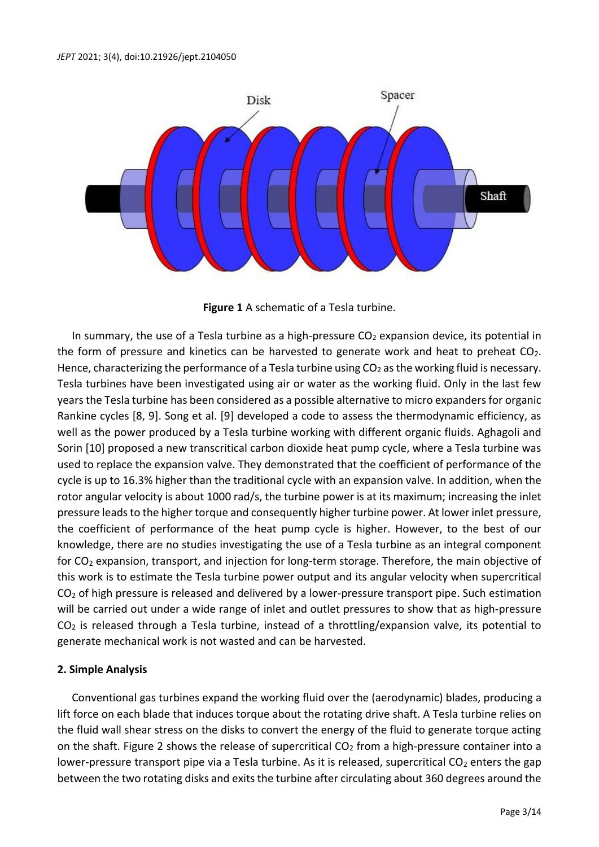

**Figure 1** A schematic of a Tesla turbine.

In summary, the use of a Tesla turbine as a high-pressure  $CO<sub>2</sub>$  expansion device, its potential in the form of pressure and kinetics can be harvested to generate work and heat to preheat  $CO<sub>2</sub>$ . Hence, characterizing the performance of a Tesla turbine using  $CO<sub>2</sub>$  as the working fluid is necessary. Tesla turbines have been investigated using air or water as the working fluid. Only in the last few years the Tesla turbine has been considered as a possible alternative to micro expanders for organic Rankine cycles [8, 9]. Song et al. [9] developed a code to assess the thermodynamic efficiency, as well as the power produced by a Tesla turbine working with different organic fluids. Aghagoli and Sorin [10] proposed a new transcritical carbon dioxide heat pump cycle, where a Tesla turbine was used to replace the expansion valve. They demonstrated that the coefficient of performance of the cycle is up to 16.3% higher than the traditional cycle with an expansion valve. In addition, when the rotor angular velocity is about 1000 rad/s, the turbine power is at its maximum; increasing the inlet pressure leads to the higher torque and consequently higher turbine power. At lower inlet pressure, the coefficient of performance of the heat pump cycle is higher. However, to the best of our knowledge, there are no studies investigating the use of a Tesla turbine as an integral component for CO<sup>2</sup> expansion, transport, and injection for long-term storage. Therefore, the main objective of this work is to estimate the Tesla turbine power output and its angular velocity when supercritical CO<sub>2</sub> of high pressure is released and delivered by a lower-pressure transport pipe. Such estimation will be carried out under a wide range of inlet and outlet pressures to show that as high-pressure  $CO<sub>2</sub>$  is released through a Tesla turbine, instead of a throttling/expansion valve, its potential to generate mechanical work is not wasted and can be harvested.

# **2. Simple Analysis**

Conventional gas turbines expand the working fluid over the (aerodynamic) blades, producing a lift force on each blade that induces torque about the rotating drive shaft. A Tesla turbine relies on the fluid wall shear stress on the disks to convert the energy of the fluid to generate torque acting on the shaft. Figure 2 shows the release of supercritical  $CO<sub>2</sub>$  from a high-pressure container into a lower-pressure transport pipe via a Tesla turbine. As it is released, supercritical  $CO<sub>2</sub>$  enters the gap between the two rotating disks and exits the turbine after circulating about 360 degrees around the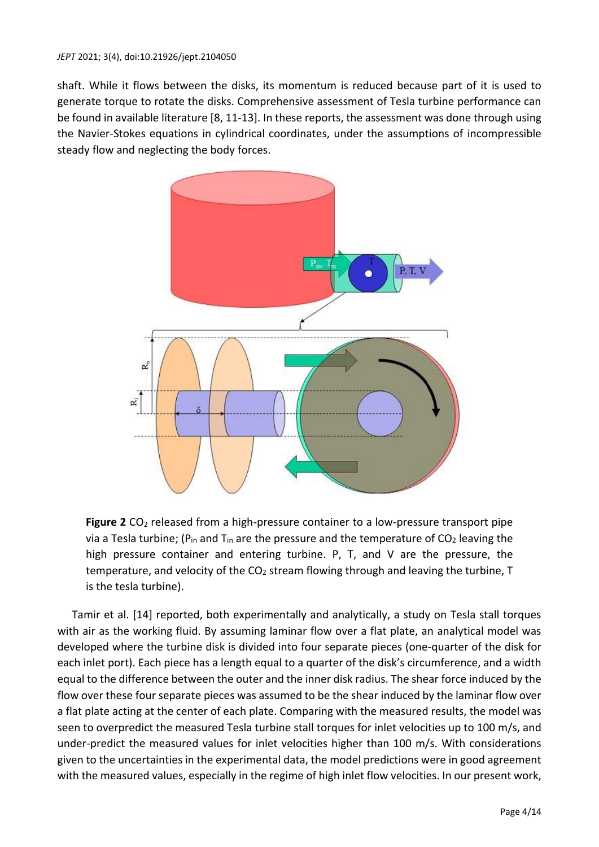shaft. While it flows between the disks, its momentum is reduced because part of it is used to generate torque to rotate the disks. Comprehensive assessment of Tesla turbine performance can be found in available literature [8, 11-13]. In these reports, the assessment was done through using the Navier-Stokes equations in cylindrical coordinates, under the assumptions of incompressible steady flow and neglecting the body forces.



Figure 2 CO<sub>2</sub> released from a high-pressure container to a low-pressure transport pipe via a Tesla turbine; ( $P_{in}$  and  $T_{in}$  are the pressure and the temperature of CO<sub>2</sub> leaving the high pressure container and entering turbine. P, T, and V are the pressure, the temperature, and velocity of the  $CO<sub>2</sub>$  stream flowing through and leaving the turbine, T is the tesla turbine).

Tamir et al. [14] reported, both experimentally and analytically, a study on Tesla stall torques with air as the working fluid. By assuming laminar flow over a flat plate, an analytical model was developed where the turbine disk is divided into four separate pieces (one-quarter of the disk for each inlet port). Each piece has a length equal to a quarter of the disk's circumference, and a width equal to the difference between the outer and the inner disk radius. The shear force induced by the flow over these four separate pieces was assumed to be the shear induced by the laminar flow over a flat plate acting at the center of each plate. Comparing with the measured results, the model was seen to overpredict the measured Tesla turbine stall torques for inlet velocities up to 100 m/s, and under-predict the measured values for inlet velocities higher than 100 m/s. With considerations given to the uncertainties in the experimental data, the model predictions were in good agreement with the measured values, especially in the regime of high inlet flow velocities. In our present work,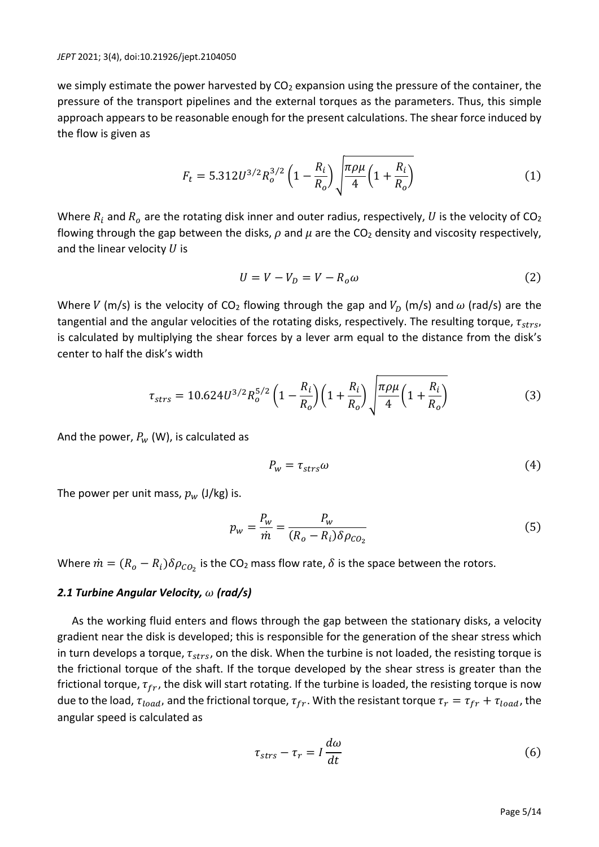we simply estimate the power harvested by  $CO<sub>2</sub>$  expansion using the pressure of the container, the pressure of the transport pipelines and the external torques as the parameters. Thus, this simple approach appears to be reasonable enough for the present calculations. The shear force induced by the flow is given as

$$
F_t = 5.312U^{3/2}R_o^{3/2}\left(1 - \frac{R_i}{R_o}\right)\sqrt{\frac{\pi \rho \mu}{4}\left(1 + \frac{R_i}{R_o}\right)}\tag{1}
$$

Where  $R_i$  and  $R_o$  are the rotating disk inner and outer radius, respectively, U is the velocity of CO<sub>2</sub> flowing through the gap between the disks,  $\rho$  and  $\mu$  are the CO<sub>2</sub> density and viscosity respectively, and the linear velocity  $U$  is

$$
U = V - V_D = V - R_o \omega \tag{2}
$$

Where V (m/s) is the velocity of CO<sub>2</sub> flowing through the gap and  $V_D$  (m/s) and  $\omega$  (rad/s) are the tangential and the angular velocities of the rotating disks, respectively. The resulting torque,  $\tau_{strs}$ , is calculated by multiplying the shear forces by a lever arm equal to the distance from the disk's center to half the disk's width

$$
\tau_{strs} = 10.624U^{3/2}R_o^{5/2}\left(1 - \frac{R_i}{R_o}\right)\left(1 + \frac{R_i}{R_o}\right)\sqrt{\frac{\pi \rho \mu}{4}\left(1 + \frac{R_i}{R_o}\right)}\tag{3}
$$

And the power,  $P_w$  (W), is calculated as

$$
P_w = \tau_{strs}\omega\tag{4}
$$

The power per unit mass,  $p_w$  (J/kg) is.

$$
p_w = \frac{P_w}{\dot{m}} = \frac{P_w}{(R_o - R_i)\delta \rho_{CO_2}}
$$
\n<sup>(5)</sup>

Where  $\dot{m} = (R_o - R_i) \delta \rho_{CO_2}$  is the CO<sub>2</sub> mass flow rate,  $\delta$  is the space between the rotors.

### *2.1 Turbine Angular Velocity, (rad/s)*

As the working fluid enters and flows through the gap between the stationary disks, a velocity gradient near the disk is developed; this is responsible for the generation of the shear stress which in turn develops a torque,  $\tau_{strs}$ , on the disk. When the turbine is not loaded, the resisting torque is the frictional torque of the shaft. If the torque developed by the shear stress is greater than the frictional torque,  $\tau_{fr}$ , the disk will start rotating. If the turbine is loaded, the resisting torque is now due to the load,  $\tau_{load}$ , and the frictional torque,  $\tau_{fr}$ . With the resistant torque  $\tau_r = \tau_{fr} + \tau_{load}$ , the angular speed is calculated as

$$
\tau_{strs} - \tau_r = I \frac{d\omega}{dt} \tag{6}
$$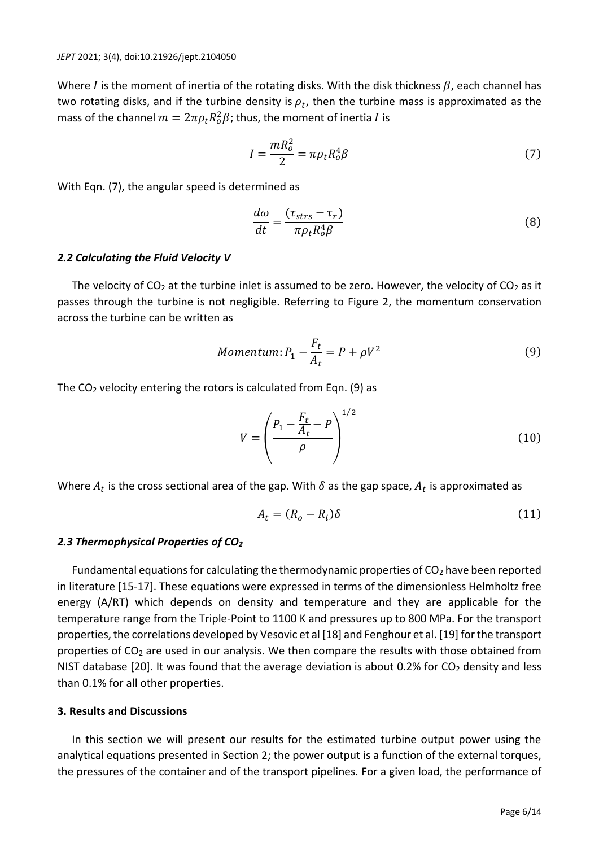Where I is the moment of inertia of the rotating disks. With the disk thickness  $\beta$ , each channel has two rotating disks, and if the turbine density is  $\rho_t$ , then the turbine mass is approximated as the mass of the channel  $m = 2\pi \rho_t R_o^2 \beta$ ; thus, the moment of inertia  $I$  is

$$
I = \frac{mR_o^2}{2} = \pi \rho_t R_o^4 \beta \tag{7}
$$

With Eqn. (7), the angular speed is determined as

$$
\frac{d\omega}{dt} = \frac{(\tau_{strs} - \tau_r)}{\pi \rho_t R_o^4 \beta} \tag{8}
$$

### *2.2 Calculating the Fluid Velocity V*

The velocity of  $CO<sub>2</sub>$  at the turbine inlet is assumed to be zero. However, the velocity of  $CO<sub>2</sub>$  as it passes through the turbine is not negligible. Referring to Figure 2, the momentum conservation across the turbine can be written as

*Momentum*: 
$$
P_1 - \frac{F_t}{A_t} = P + \rho V^2
$$
 (9)

The  $CO<sub>2</sub>$  velocity entering the rotors is calculated from Eqn. (9) as

$$
V = \left(\frac{P_1 - \frac{F_t}{A_t} - P}{\rho}\right)^{1/2}
$$
 (10)

Where  $A_t$  is the cross sectional area of the gap. With  $\delta$  as the gap space,  $A_t$  is approximated as

$$
A_t = (R_o - R_i)\delta \tag{11}
$$

### *2.3 Thermophysical Properties of CO<sup>2</sup>*

Fundamental equations for calculating the thermodynamic properties of  $CO<sub>2</sub>$  have been reported in literature [15-17]. These equations were expressed in terms of the dimensionless Helmholtz free energy (A/RT) which depends on density and temperature and they are applicable for the temperature range from the Triple-Point to 1100 K and pressures up to 800 MPa. For the transport properties, the correlations developed by Vesovic et al [18] and Fenghour et al. [19] for the transport properties of  $CO<sub>2</sub>$  are used in our analysis. We then compare the results with those obtained from NIST database [20]. It was found that the average deviation is about 0.2% for  $CO<sub>2</sub>$  density and less than 0.1% for all other properties.

### **3. Results and Discussions**

In this section we will present our results for the estimated turbine output power using the analytical equations presented in Section 2; the power output is a function of the external torques, the pressures of the container and of the transport pipelines. For a given load, the performance of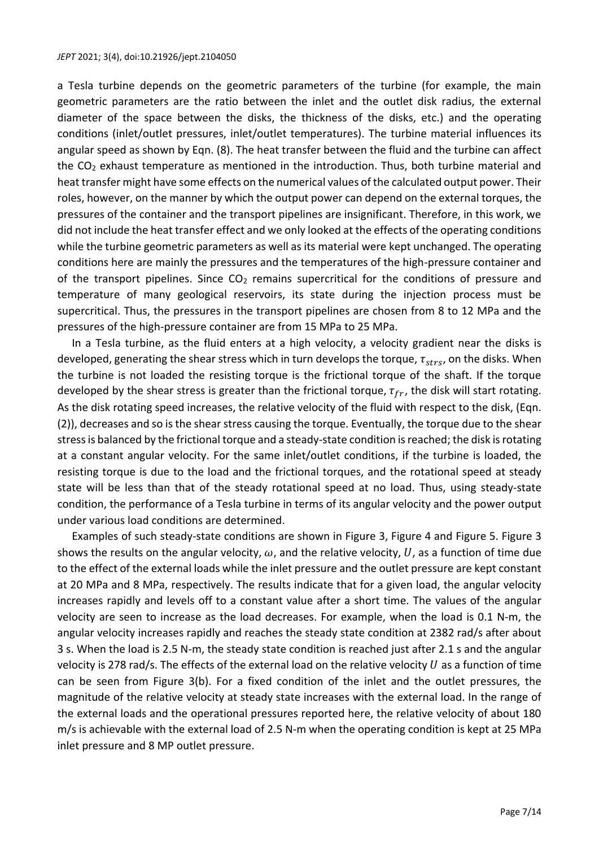#### *JEPT* 2021; 3(4), doi:10.21926/jept.2104050

a Tesla turbine depends on the geometric parameters of the turbine (for example, the main geometric parameters are the ratio between the inlet and the outlet disk radius, the external diameter of the space between the disks, the thickness of the disks, etc.) and the operating conditions (inlet/outlet pressures, inlet/outlet temperatures). The turbine material influences its angular speed as shown by Eqn. (8). The heat transfer between the fluid and the turbine can affect the  $CO<sub>2</sub>$  exhaust temperature as mentioned in the introduction. Thus, both turbine material and heat transfer might have some effects on the numerical values of the calculated output power. Their roles, however, on the manner by which the output power can depend on the external torques, the pressures of the container and the transport pipelines are insignificant. Therefore, in this work, we did not include the heat transfer effect and we only looked at the effects of the operating conditions while the turbine geometric parameters as well as its material were kept unchanged. The operating conditions here are mainly the pressures and the temperatures of the high-pressure container and of the transport pipelines. Since  $CO<sub>2</sub>$  remains supercritical for the conditions of pressure and temperature of many geological reservoirs, its state during the injection process must be supercritical. Thus, the pressures in the transport pipelines are chosen from 8 to 12 MPa and the pressures of the high-pressure container are from 15 MPa to 25 MPa.

In a Tesla turbine, as the fluid enters at a high velocity, a velocity gradient near the disks is developed, generating the shear stress which in turn develops the torque,  $\tau_{strs}$ , on the disks. When the turbine is not loaded the resisting torque is the frictional torque of the shaft. If the torque developed by the shear stress is greater than the frictional torque,  $\tau_{fr}$ , the disk will start rotating. As the disk rotating speed increases, the relative velocity of the fluid with respect to the disk, (Eqn. (2)), decreases and so is the shear stress causing the torque. Eventually, the torque due to the shear stress is balanced by the frictional torque and a steady-state condition is reached; the disk is rotating at a constant angular velocity. For the same inlet/outlet conditions, if the turbine is loaded, the resisting torque is due to the load and the frictional torques, and the rotational speed at steady state will be less than that of the steady rotational speed at no load. Thus, using steady-state condition, the performance of a Tesla turbine in terms of its angular velocity and the power output under various load conditions are determined.

Examples of such steady-state conditions are shown in Figure 3, Figure 4 and Figure 5. Figure 3 shows the results on the angular velocity,  $\omega$ , and the relative velocity, U, as a function of time due to the effect of the external loads while the inlet pressure and the outlet pressure are kept constant at 20 MPa and 8 MPa, respectively. The results indicate that for a given load, the angular velocity increases rapidly and levels off to a constant value after a short time. The values of the angular velocity are seen to increase as the load decreases. For example, when the load is 0.1 N-m, the angular velocity increases rapidly and reaches the steady state condition at 2382 rad/s after about 3 s. When the load is 2.5 N-m, the steady state condition is reached just after 2.1 s and the angular velocity is 278 rad/s. The effects of the external load on the relative velocity  $U$  as a function of time can be seen from Figure 3(b). For a fixed condition of the inlet and the outlet pressures, the magnitude of the relative velocity at steady state increases with the external load. In the range of the external loads and the operational pressures reported here, the relative velocity of about 180 m/s is achievable with the external load of 2.5 N-m when the operating condition is kept at 25 MPa inlet pressure and 8 MP outlet pressure.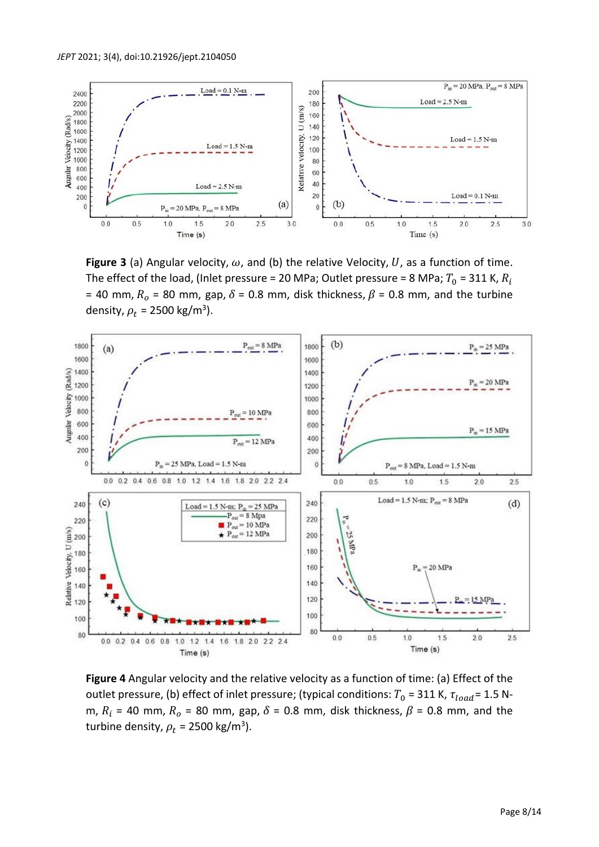

**Figure 3** (a) Angular velocity,  $\omega$ , and (b) the relative Velocity, U, as a function of time. The effect of the load, (Inlet pressure = 20 MPa; Outlet pressure = 8 MPa;  $T_0$  = 311 K,  $R_i$ = 40 mm,  $R_o$  = 80 mm, gap,  $\delta$  = 0.8 mm, disk thickness,  $\beta$  = 0.8 mm, and the turbine density,  $\rho_t$  = 2500 kg/m<sup>3</sup>).



**Figure 4** Angular velocity and the relative velocity as a function of time: (a) Effect of the outlet pressure, (b) effect of inlet pressure; (typical conditions:  $T_0 = 311$  K,  $\tau_{load} = 1.5$  Nm,  $R_i$  = 40 mm,  $R_o$  = 80 mm, gap,  $\delta$  = 0.8 mm, disk thickness,  $\beta$  = 0.8 mm, and the turbine density,  $\rho_t$  = 2500 kg/m<sup>3</sup>).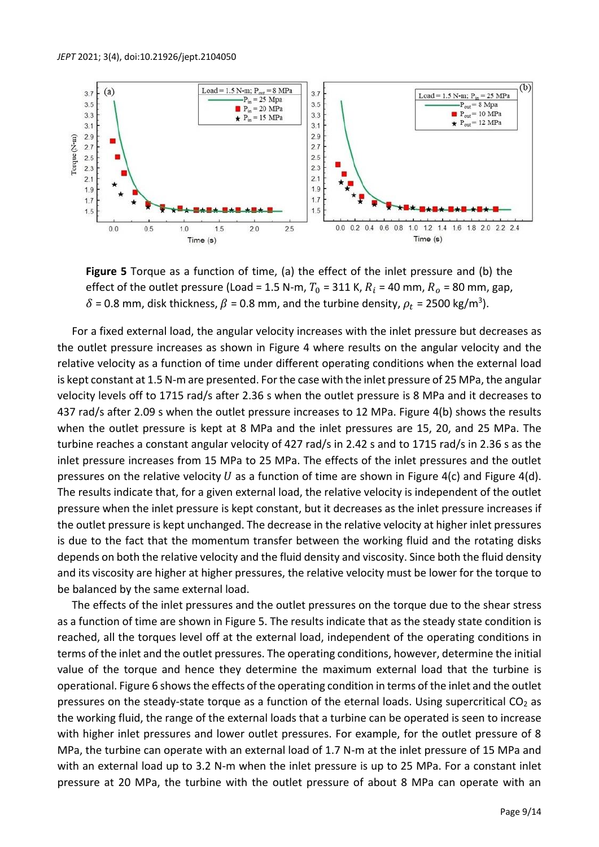

**Figure 5** Torque as a function of time, (a) the effect of the inlet pressure and (b) the effect of the outlet pressure (Load = 1.5 N-m,  $T_0$  = 311 K,  $R_i$  = 40 mm,  $R_o$  = 80 mm, gap,  $\delta$  = 0.8 mm, disk thickness,  $\beta$  = 0.8 mm, and the turbine density,  $\rho_t$  = 2500 kg/m<sup>3</sup>).

For a fixed external load, the angular velocity increases with the inlet pressure but decreases as the outlet pressure increases as shown in Figure 4 where results on the angular velocity and the relative velocity as a function of time under different operating conditions when the external load is kept constant at 1.5 N-m are presented. For the case with the inlet pressure of 25 MPa, the angular velocity levels off to 1715 rad/s after 2.36 s when the outlet pressure is 8 MPa and it decreases to 437 rad/s after 2.09 s when the outlet pressure increases to 12 MPa. Figure 4(b) shows the results when the outlet pressure is kept at 8 MPa and the inlet pressures are 15, 20, and 25 MPa. The turbine reaches a constant angular velocity of 427 rad/s in 2.42 s and to 1715 rad/s in 2.36 s as the inlet pressure increases from 15 MPa to 25 MPa. The effects of the inlet pressures and the outlet pressures on the relative velocity  $U$  as a function of time are shown in Figure 4(c) and Figure 4(d). The results indicate that, for a given external load, the relative velocity is independent of the outlet pressure when the inlet pressure is kept constant, but it decreases as the inlet pressure increases if the outlet pressure is kept unchanged. The decrease in the relative velocity at higher inlet pressures is due to the fact that the momentum transfer between the working fluid and the rotating disks depends on both the relative velocity and the fluid density and viscosity. Since both the fluid density and its viscosity are higher at higher pressures, the relative velocity must be lower for the torque to be balanced by the same external load.

The effects of the inlet pressures and the outlet pressures on the torque due to the shear stress as a function of time are shown in Figure 5. The results indicate that as the steady state condition is reached, all the torques level off at the external load, independent of the operating conditions in terms of the inlet and the outlet pressures. The operating conditions, however, determine the initial value of the torque and hence they determine the maximum external load that the turbine is operational. Figure 6 shows the effects of the operating condition in terms of the inlet and the outlet pressures on the steady-state torque as a function of the eternal loads. Using supercritical  $CO<sub>2</sub>$  as the working fluid, the range of the external loads that a turbine can be operated is seen to increase with higher inlet pressures and lower outlet pressures. For example, for the outlet pressure of 8 MPa, the turbine can operate with an external load of 1.7 N-m at the inlet pressure of 15 MPa and with an external load up to 3.2 N-m when the inlet pressure is up to 25 MPa. For a constant inlet pressure at 20 MPa, the turbine with the outlet pressure of about 8 MPa can operate with an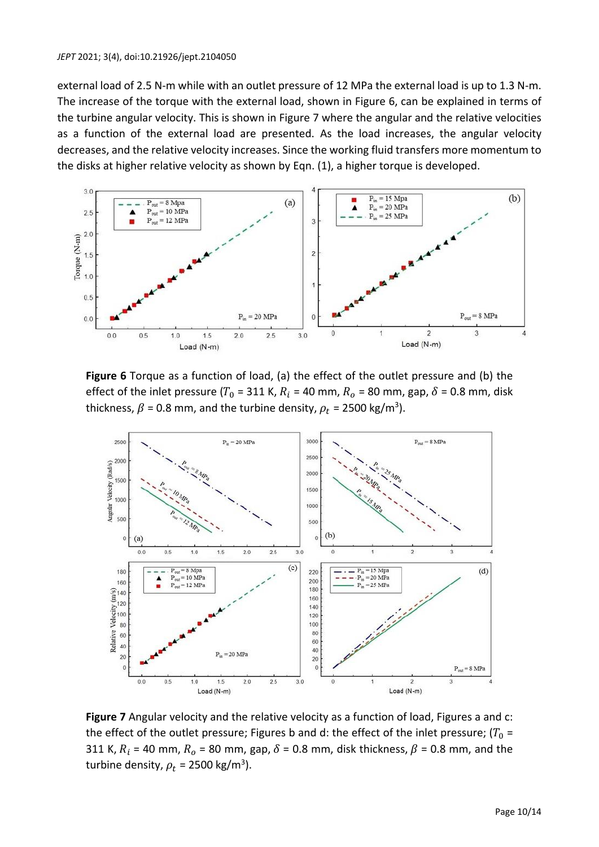external load of 2.5 N-m while with an outlet pressure of 12 MPa the external load is up to 1.3 N-m. The increase of the torque with the external load, shown in Figure 6, can be explained in terms of the turbine angular velocity. This is shown in Figure 7 where the angular and the relative velocities as a function of the external load are presented. As the load increases, the angular velocity decreases, and the relative velocity increases. Since the working fluid transfers more momentum to the disks at higher relative velocity as shown by Eqn. (1), a higher torque is developed.



**Figure 6** Torque as a function of load, (a) the effect of the outlet pressure and (b) the effect of the inlet pressure (T<sub>0</sub> = 311 K,  $R_i$  = 40 mm,  $R_o$  = 80 mm, gap,  $\delta$  = 0.8 mm, disk thickness,  $\beta$  = 0.8 mm, and the turbine density,  $\rho_t$  = 2500 kg/m<sup>3</sup>).



**Figure 7** Angular velocity and the relative velocity as a function of load, Figures a and c: the effect of the outlet pressure; Figures b and d: the effect of the inlet pressure;  $(T_0 =$ 311 K,  $R_i$  = 40 mm,  $R_o$  = 80 mm, gap,  $\delta$  = 0.8 mm, disk thickness,  $\beta$  = 0.8 mm, and the turbine density,  $\rho_t$  = 2500 kg/m<sup>3</sup>).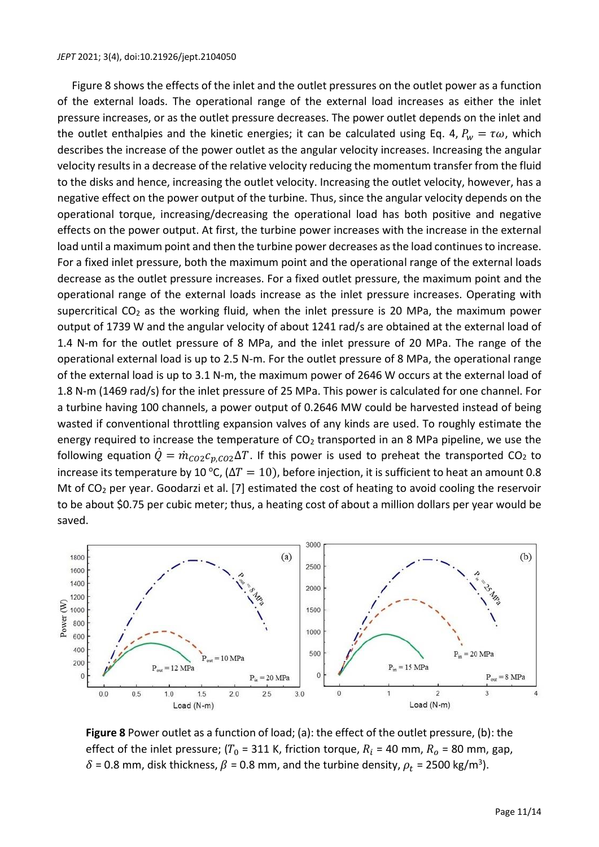#### *JEPT* 2021; 3(4), doi:10.21926/jept.2104050

Figure 8 shows the effects of the inlet and the outlet pressures on the outlet power as a function of the external loads. The operational range of the external load increases as either the inlet pressure increases, or as the outlet pressure decreases. The power outlet depends on the inlet and the outlet enthalpies and the kinetic energies; it can be calculated using Eq. 4,  $P_w = \tau \omega$ , which describes the increase of the power outlet as the angular velocity increases. Increasing the angular velocity results in a decrease of the relative velocity reducing the momentum transfer from the fluid to the disks and hence, increasing the outlet velocity. Increasing the outlet velocity, however, has a negative effect on the power output of the turbine. Thus, since the angular velocity depends on the operational torque, increasing/decreasing the operational load has both positive and negative effects on the power output. At first, the turbine power increases with the increase in the external load until a maximum point and then the turbine power decreases as the load continuesto increase. For a fixed inlet pressure, both the maximum point and the operational range of the external loads decrease as the outlet pressure increases. For a fixed outlet pressure, the maximum point and the operational range of the external loads increase as the inlet pressure increases. Operating with supercritical  $CO<sub>2</sub>$  as the working fluid, when the inlet pressure is 20 MPa, the maximum power output of 1739 W and the angular velocity of about 1241 rad/s are obtained at the external load of 1.4 N-m for the outlet pressure of 8 MPa, and the inlet pressure of 20 MPa. The range of the operational external load is up to 2.5 N-m. For the outlet pressure of 8 MPa, the operational range of the external load is up to 3.1 N-m, the maximum power of 2646 W occurs at the external load of 1.8 N-m (1469 rad/s) for the inlet pressure of 25 MPa. This power is calculated for one channel. For a turbine having 100 channels, a power output of 0.2646 MW could be harvested instead of being wasted if conventional throttling expansion valves of any kinds are used. To roughly estimate the energy required to increase the temperature of  $CO<sub>2</sub>$  transported in an 8 MPa pipeline, we use the following equation  $\dot{Q} = \dot{m}_{CO2}c_{n,CO2}\Delta T$ . If this power is used to preheat the transported CO<sub>2</sub> to increase its temperature by 10 °C, ( $\Delta T = 10$ ), before injection, it is sufficient to heat an amount 0.8 Mt of  $CO<sub>2</sub>$  per year. Goodarzi et al. [7] estimated the cost of heating to avoid cooling the reservoir to be about \$0.75 per cubic meter; thus, a heating cost of about a million dollars per year would be saved.



**Figure 8** Power outlet as a function of load; (a): the effect of the outlet pressure, (b): the effect of the inlet pressure; ( $T_0$  = 311 K, friction torque,  $R_i$  = 40 mm,  $R_o$  = 80 mm, gap,  $\delta$  = 0.8 mm, disk thickness,  $\beta$  = 0.8 mm, and the turbine density,  $\rho_t$  = 2500 kg/m<sup>3</sup>).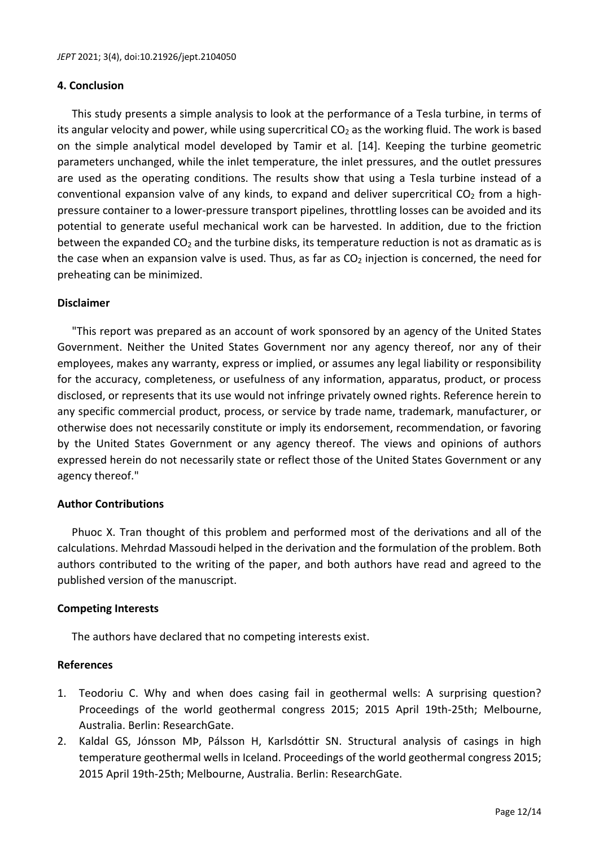# **4. Conclusion**

This study presents a simple analysis to look at the performance of a Tesla turbine, in terms of its angular velocity and power, while using supercritical  $CO<sub>2</sub>$  as the working fluid. The work is based on the simple analytical model developed by Tamir et al. [14]. Keeping the turbine geometric parameters unchanged, while the inlet temperature, the inlet pressures, and the outlet pressures are used as the operating conditions. The results show that using a Tesla turbine instead of a conventional expansion valve of any kinds, to expand and deliver supercritical  $CO<sub>2</sub>$  from a highpressure container to a lower-pressure transport pipelines, throttling losses can be avoided and its potential to generate useful mechanical work can be harvested. In addition, due to the friction between the expanded  $CO<sub>2</sub>$  and the turbine disks, its temperature reduction is not as dramatic as is the case when an expansion valve is used. Thus, as far as  $CO<sub>2</sub>$  injection is concerned, the need for preheating can be minimized.

# **Disclaimer**

"This report was prepared as an account of work sponsored by an agency of the United States Government. Neither the United States Government nor any agency thereof, nor any of their employees, makes any warranty, express or implied, or assumes any legal liability or responsibility for the accuracy, completeness, or usefulness of any information, apparatus, product, or process disclosed, or represents that its use would not infringe privately owned rights. Reference herein to any specific commercial product, process, or service by trade name, trademark, manufacturer, or otherwise does not necessarily constitute or imply its endorsement, recommendation, or favoring by the United States Government or any agency thereof. The views and opinions of authors expressed herein do not necessarily state or reflect those of the United States Government or any agency thereof."

# **Author Contributions**

Phuoc X. Tran thought of this problem and performed most of the derivations and all of the calculations. Mehrdad Massoudi helped in the derivation and the formulation of the problem. Both authors contributed to the writing of the paper, and both authors have read and agreed to the published version of the manuscript.

# **Competing Interests**

The authors have declared that no competing interests exist.

# **References**

- 1. Teodoriu C. Why and when does casing fail in geothermal wells: A surprising question? Proceedings of the world geothermal congress 2015; 2015 April 19th-25th; Melbourne, Australia. Berlin: ResearchGate.
- 2. Kaldal GS, Jónsson MÞ, Pálsson H, Karlsdóttir SN. Structural analysis of casings in high temperature geothermal wells in Iceland. Proceedings of the world geothermal congress 2015; 2015 April 19th-25th; Melbourne, Australia. Berlin: ResearchGate.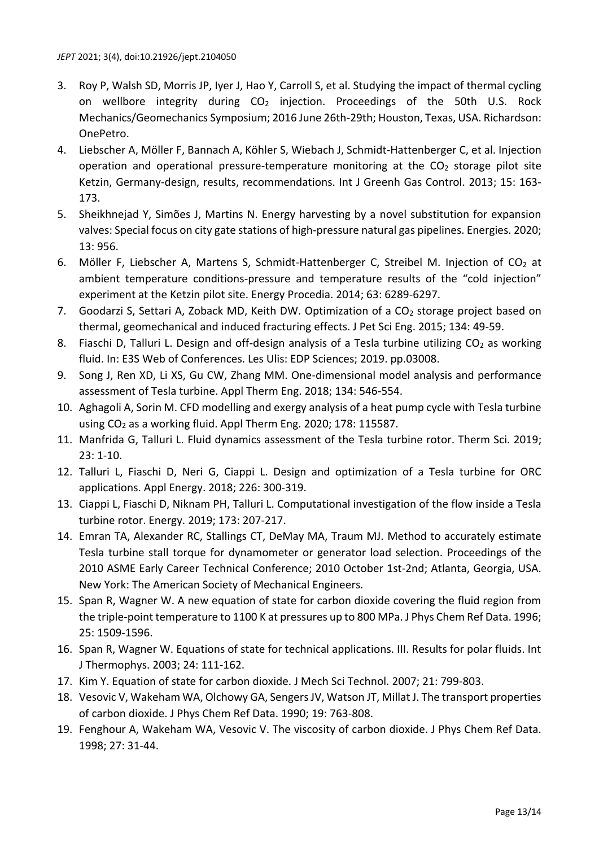- 3. Roy P, Walsh SD, Morris JP, Iyer J, Hao Y, Carroll S, et al. Studying the impact of thermal cycling on wellbore integrity during CO<sub>2</sub> injection. Proceedings of the 50th U.S. Rock Mechanics/Geomechanics Symposium; 2016 June 26th-29th; Houston, Texas, USA. Richardson: OnePetro.
- 4. Liebscher A, Möller F, Bannach A, Köhler S, Wiebach J, Schmidt-Hattenberger C, et al. Injection operation and operational pressure-temperature monitoring at the  $CO<sub>2</sub>$  storage pilot site Ketzin, Germany-design, results, recommendations. Int J Greenh Gas Control. 2013; 15: 163- 173.
- 5. Sheikhnejad Y, Simões J, Martins N. Energy harvesting by a novel substitution for expansion valves: Special focus on city gate stations of high-pressure natural gas pipelines. Energies. 2020; 13: 956.
- 6. Möller F, Liebscher A, Martens S, Schmidt-Hattenberger C, Streibel M. Injection of CO<sub>2</sub> at ambient temperature conditions-pressure and temperature results of the "cold injection" experiment at the Ketzin pilot site. Energy Procedia. 2014; 63: 6289-6297.
- 7. Goodarzi S, Settari A, Zoback MD, Keith DW. Optimization of a  $CO<sub>2</sub>$  storage project based on thermal, geomechanical and induced fracturing effects. J Pet Sci Eng. 2015; 134: 49-59.
- 8. Fiaschi D, Talluri L. Design and off-design analysis of a Tesla turbine utilizing CO<sub>2</sub> as working fluid. In: E3S Web of Conferences. Les Ulis: EDP Sciences; 2019. pp.03008.
- 9. Song J, Ren XD, Li XS, Gu CW, Zhang MM. One-dimensional model analysis and performance assessment of Tesla turbine. Appl Therm Eng. 2018; 134: 546-554.
- 10. Aghagoli A, Sorin M. CFD modelling and exergy analysis of a heat pump cycle with Tesla turbine using CO<sup>2</sup> as a working fluid. Appl Therm Eng. 2020; 178: 115587.
- 11. Manfrida G, Talluri L. Fluid dynamics assessment of the Tesla turbine rotor. Therm Sci. 2019; 23: 1-10.
- 12. Talluri L, Fiaschi D, Neri G, Ciappi L. Design and optimization of a Tesla turbine for ORC applications. Appl Energy. 2018; 226: 300-319.
- 13. Ciappi L, Fiaschi D, Niknam PH, Talluri L. Computational investigation of the flow inside a Tesla turbine rotor. Energy. 2019; 173: 207-217.
- 14. Emran TA, Alexander RC, Stallings CT, DeMay MA, Traum MJ. Method to accurately estimate Tesla turbine stall torque for dynamometer or generator load selection. Proceedings of the 2010 ASME Early Career Technical Conference; 2010 October 1st-2nd; Atlanta, Georgia, USA. New York: The American Society of Mechanical Engineers.
- 15. Span R, Wagner W. A new equation of state for carbon dioxide covering the fluid region from the triple‐point temperature to 1100 K at pressures up to 800 MPa. J Phys Chem Ref Data. 1996; 25: 1509-1596.
- 16. Span R, Wagner W. Equations of state for technical applications. III. Results for polar fluids. Int J Thermophys. 2003; 24: 111-162.
- 17. Kim Y. Equation of state for carbon dioxide. J Mech Sci Technol. 2007; 21: 799-803.
- 18. Vesovic V, Wakeham WA, Olchowy GA, Sengers JV, Watson JT, Millat J. The transport properties of carbon dioxide. J Phys Chem Ref Data. 1990; 19: 763-808.
- 19. Fenghour A, Wakeham WA, Vesovic V. The viscosity of carbon dioxide. J Phys Chem Ref Data. 1998; 27: 31-44.